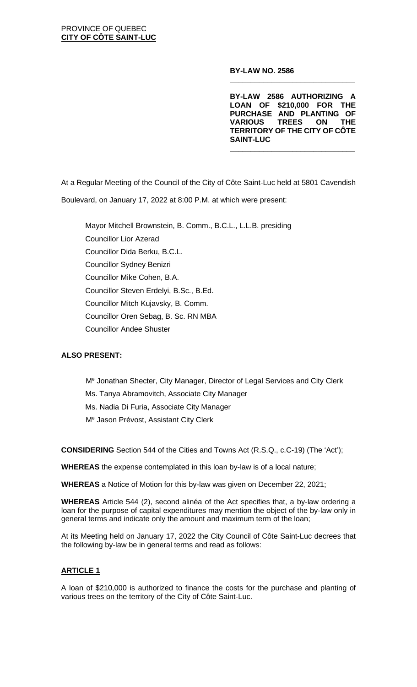**BY-LAW NO. 2586**

**BY-LAW 2586 AUTHORIZING A LOAN OF \$210,000 FOR THE PURCHASE AND PLANTING OF VARIOUS TREES ON THE TERRITORY OF THE CITY OF CÔTE SAINT-LUC**

**\_\_\_\_\_\_\_\_\_\_\_\_\_\_\_\_\_\_\_\_\_\_\_\_\_\_\_\_\_\_**

**\_\_\_\_\_\_\_\_\_\_\_\_\_\_\_\_\_\_\_\_\_\_\_\_\_\_\_\_\_\_**

At a Regular Meeting of the Council of the City of Côte Saint-Luc held at 5801 Cavendish Boulevard, on January 17, 2022 at 8:00 P.M. at which were present:

Mayor Mitchell Brownstein, B. Comm., B.C.L., L.L.B. presiding Councillor Lior Azerad Councillor Dida Berku, B.C.L. Councillor Sydney Benizri Councillor Mike Cohen, B.A. Councillor Steven Erdelyi, B.Sc., B.Ed. Councillor Mitch Kujavsky, B. Comm. Councillor Oren Sebag, B. Sc. RN MBA Councillor Andee Shuster

# **ALSO PRESENT:**

Me Jonathan Shecter, City Manager, Director of Legal Services and City Clerk Ms. Tanya Abramovitch, Associate City Manager Ms. Nadia Di Furia, Associate City Manager Me Jason Prévost, Assistant City Clerk

**CONSIDERING** Section 544 of the Cities and Towns Act (R.S.Q., c.C-19) (The 'Act');

**WHEREAS** the expense contemplated in this loan by-law is of a local nature;

**WHEREAS** a Notice of Motion for this by-law was given on December 22, 2021;

**WHEREAS** Article 544 (2), second alinéa of the Act specifies that, a by-law ordering a loan for the purpose of capital expenditures may mention the object of the by-law only in general terms and indicate only the amount and maximum term of the loan;

At its Meeting held on January 17, 2022 the City Council of Côte Saint-Luc decrees that the following by-law be in general terms and read as follows:

# **ARTICLE 1**

A loan of \$210,000 is authorized to finance the costs for the purchase and planting of various trees on the territory of the City of Côte Saint-Luc.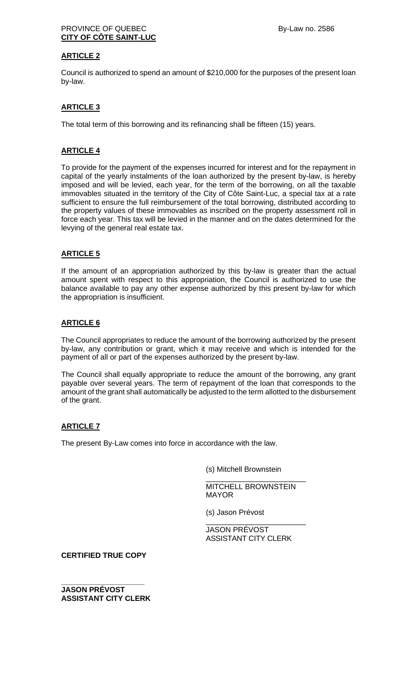### PROVINCE OF QUEBEC By-Law no. 2586 **CITY OF CÔTE SAINT-LUC**

## **ARTICLE 2**

Council is authorized to spend an amount of \$210,000 for the purposes of the present loan by-law.

# **ARTICLE 3**

The total term of this borrowing and its refinancing shall be fifteen (15) years.

### **ARTICLE 4**

To provide for the payment of the expenses incurred for interest and for the repayment in capital of the yearly instalments of the loan authorized by the present by-law, is hereby imposed and will be levied, each year, for the term of the borrowing, on all the taxable immovables situated in the territory of the City of Côte Saint-Luc, a special tax at a rate sufficient to ensure the full reimbursement of the total borrowing, distributed according to the property values of these immovables as inscribed on the property assessment roll in force each year. This tax will be levied in the manner and on the dates determined for the levying of the general real estate tax.

### **ARTICLE 5**

If the amount of an appropriation authorized by this by-law is greater than the actual amount spent with respect to this appropriation, the Council is authorized to use the balance available to pay any other expense authorized by this present by-law for which the appropriation is insufficient.

### **ARTICLE 6**

The Council appropriates to reduce the amount of the borrowing authorized by the present by-law, any contribution or grant, which it may receive and which is intended for the payment of all or part of the expenses authorized by the present by-law.

The Council shall equally appropriate to reduce the amount of the borrowing, any grant payable over several years. The term of repayment of the loan that corresponds to the amount of the grant shall automatically be adjusted to the term allotted to the disbursement of the grant.

## **ARTICLE 7**

The present By-Law comes into force in accordance with the law.

(s) Mitchell Brownstein

MITCHELL BROWNSTEIN MAYOR

\_\_\_\_\_\_\_\_\_\_\_\_\_\_\_\_\_\_\_\_\_\_\_\_

(s) Jason Prévost

JASON PRÉVOST ASSISTANT CITY CLERK

\_\_\_\_\_\_\_\_\_\_\_\_\_\_\_\_\_\_\_\_\_\_\_\_

**CERTIFIED TRUE COPY**

**\_\_\_\_\_\_\_\_\_\_\_\_\_\_\_\_\_\_\_\_ JASON PRÉVOST ASSISTANT CITY CLERK**